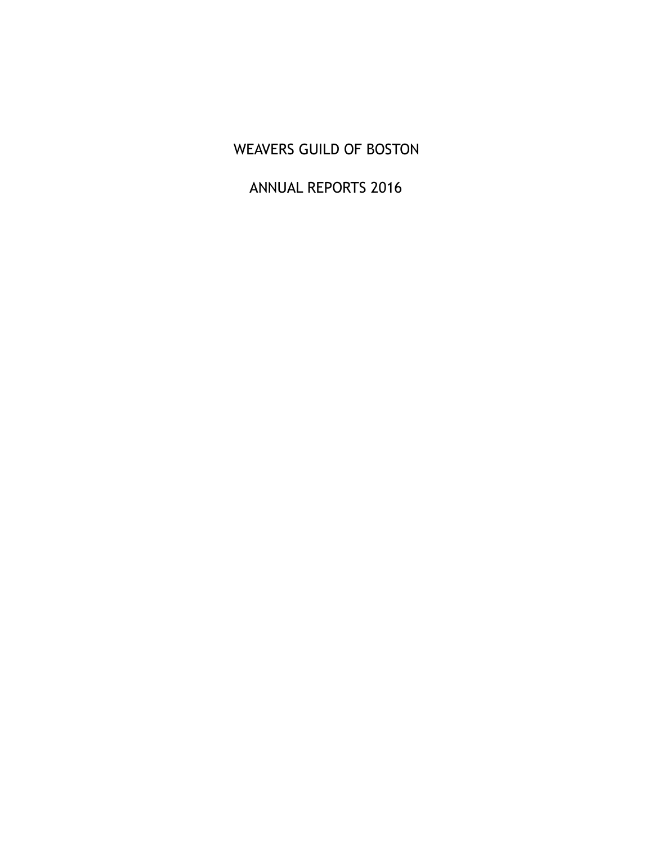# WEAVERS GUILD OF BOSTON

# ANNUAL REPORTS 2016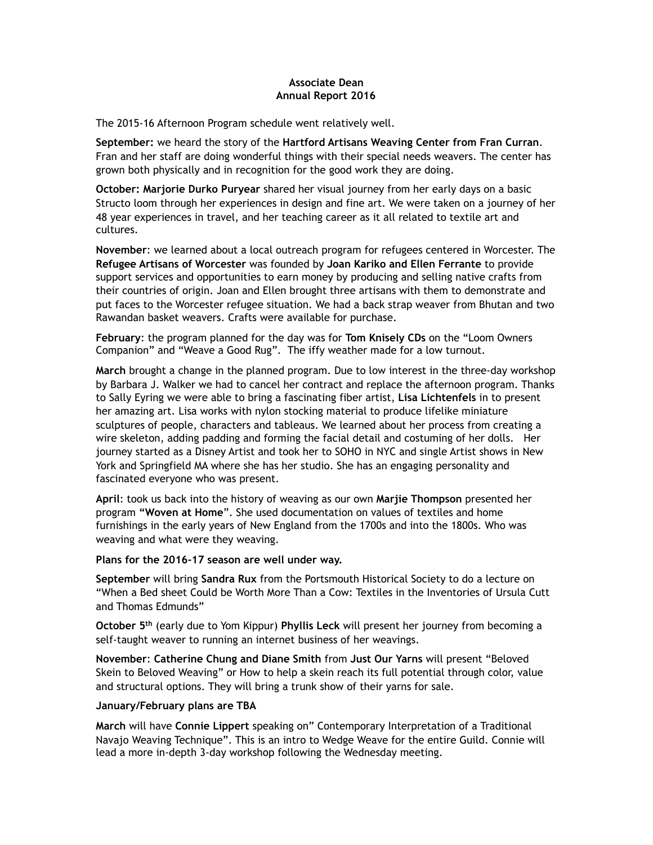#### **Associate Dean Annual Report 2016**

The 2015-16 Afternoon Program schedule went relatively well.

**September:** we heard the story of the **Hartford Artisans Weaving Center from Fran Curran**. Fran and her staff are doing wonderful things with their special needs weavers. The center has grown both physically and in recognition for the good work they are doing.

**October: Marjorie Durko Puryear** shared her visual journey from her early days on a basic Structo loom through her experiences in design and fine art. We were taken on a journey of her 48 year experiences in travel, and her teaching career as it all related to textile art and cultures.

**November**: we learned about a local outreach program for refugees centered in Worcester. The **Refugee Artisans of Worcester** was founded by **Joan Kariko and Ellen Ferrante** to provide support services and opportunities to earn money by producing and selling native crafts from their countries of origin. Joan and Ellen brought three artisans with them to demonstrate and put faces to the Worcester refugee situation. We had a back strap weaver from Bhutan and two Rawandan basket weavers. Crafts were available for purchase.

**February**: the program planned for the day was for **Tom Knisely CDs** on the "Loom Owners Companion" and "Weave a Good Rug". The iffy weather made for a low turnout.

**March** brought a change in the planned program. Due to low interest in the three-day workshop by Barbara J. Walker we had to cancel her contract and replace the afternoon program. Thanks to Sally Eyring we were able to bring a fascinating fiber artist, **Lisa Lichtenfels** in to present her amazing art. Lisa works with nylon stocking material to produce lifelike miniature sculptures of people, characters and tableaus. We learned about her process from creating a wire skeleton, adding padding and forming the facial detail and costuming of her dolls. Her journey started as a Disney Artist and took her to SOHO in NYC and single Artist shows in New York and Springfield MA where she has her studio. She has an engaging personality and fascinated everyone who was present.

**April**: took us back into the history of weaving as our own **Marjie Thompson** presented her program **"Woven at Home**". She used documentation on values of textiles and home furnishings in the early years of New England from the 1700s and into the 1800s. Who was weaving and what were they weaving.

#### **Plans for the 2016-17 season are well under way.**

**September** will bring **Sandra Rux** from the Portsmouth Historical Society to do a lecture on "When a Bed sheet Could be Worth More Than a Cow: Textiles in the Inventories of Ursula Cutt and Thomas Edmunds"

**October 5th** (early due to Yom Kippur) **Phyllis Leck** will present her journey from becoming a self-taught weaver to running an internet business of her weavings.

**November**: **Catherine Chung and Diane Smith** from **Just Our Yarns** will present "Beloved Skein to Beloved Weaving" or How to help a skein reach its full potential through color, value and structural options. They will bring a trunk show of their yarns for sale.

#### **January/February plans are TBA**

**March** will have **Connie Lippert** speaking on" Contemporary Interpretation of a Traditional Navajo Weaving Technique". This is an intro to Wedge Weave for the entire Guild. Connie will lead a more in-depth 3-day workshop following the Wednesday meeting.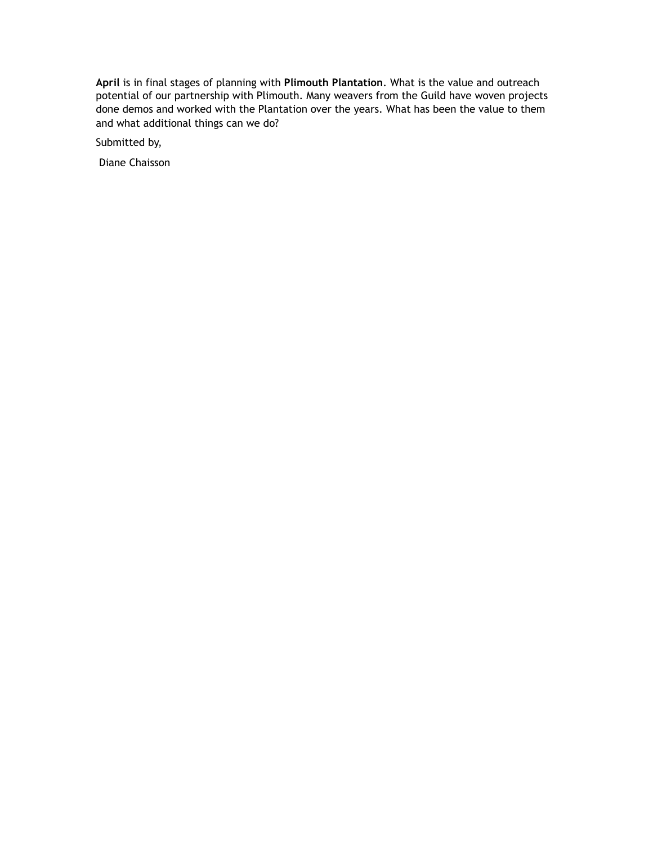**April** is in final stages of planning with **Plimouth Plantation**. What is the value and outreach potential of our partnership with Plimouth. Many weavers from the Guild have woven projects done demos and worked with the Plantation over the years. What has been the value to them and what additional things can we do?

Submitted by,

Diane Chaisson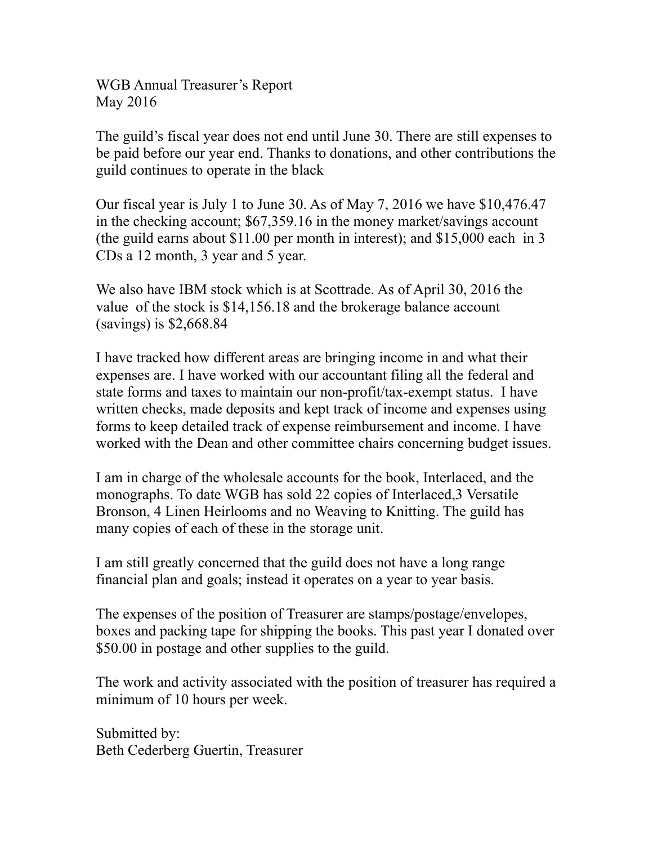WGB Annual Treasurer's Report May 2016

The guild's fiscal year does not end until June 30. There are still expenses to be paid before our year end. Thanks to donations, and other contributions the guild continues to operate in the black

Our fiscal year is July 1 to June 30. As of May 7, 2016 we have \$10,476.47 in the checking account; \$67,359.16 in the money market/savings account (the guild earns about \$11.00 per month in interest); and \$15,000 each in 3 CDs a 12 month, 3 year and 5 year.

We also have IBM stock which is at Scottrade. As of April 30, 2016 the value of the stock is \$14,156.18 and the brokerage balance account (savings) is \$2,668.84

I have tracked how different areas are bringing income in and what their expenses are. I have worked with our accountant filing all the federal and state forms and taxes to maintain our non-profit/tax-exempt status. I have written checks, made deposits and kept track of income and expenses using forms to keep detailed track of expense reimbursement and income. I have worked with the Dean and other committee chairs concerning budget issues.

I am in charge of the wholesale accounts for the book, Interlaced, and the monographs. To date WGB has sold 22 copies of Interlaced,3 Versatile Bronson, 4 Linen Heirlooms and no Weaving to Knitting. The guild has many copies of each of these in the storage unit.

I am still greatly concerned that the guild does not have a long range financial plan and goals; instead it operates on a year to year basis.

The expenses of the position of Treasurer are stamps/postage/envelopes, boxes and packing tape for shipping the books. This past year I donated over \$50.00 in postage and other supplies to the guild.

The work and activity associated with the position of treasurer has required a minimum of 10 hours per week.

Submitted by: Beth Cederberg Guertin, Treasurer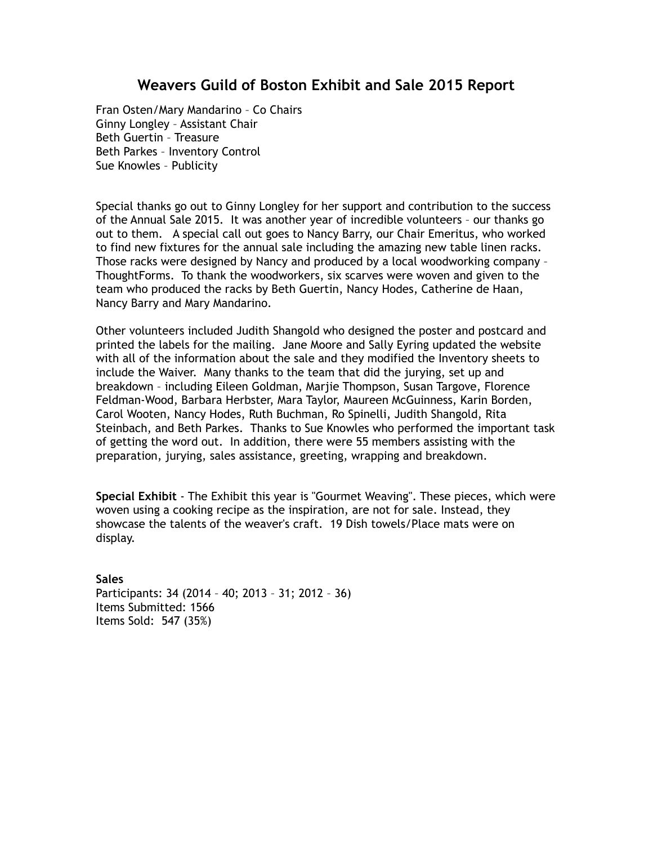# **Weavers Guild of Boston Exhibit and Sale 2015 Report**

Fran Osten/Mary Mandarino – Co Chairs Ginny Longley – Assistant Chair Beth Guertin – Treasure Beth Parkes – Inventory Control Sue Knowles – Publicity

Special thanks go out to Ginny Longley for her support and contribution to the success of the Annual Sale 2015. It was another year of incredible volunteers – our thanks go out to them. A special call out goes to Nancy Barry, our Chair Emeritus, who worked to find new fixtures for the annual sale including the amazing new table linen racks. Those racks were designed by Nancy and produced by a local woodworking company – ThoughtForms. To thank the woodworkers, six scarves were woven and given to the team who produced the racks by Beth Guertin, Nancy Hodes, Catherine de Haan, Nancy Barry and Mary Mandarino.

Other volunteers included Judith Shangold who designed the poster and postcard and printed the labels for the mailing. Jane Moore and Sally Eyring updated the website with all of the information about the sale and they modified the Inventory sheets to include the Waiver. Many thanks to the team that did the jurying, set up and breakdown – including Eileen Goldman, Marjie Thompson, Susan Targove, Florence Feldman-Wood, Barbara Herbster, Mara Taylor, Maureen McGuinness, Karin Borden, Carol Wooten, Nancy Hodes, Ruth Buchman, Ro Spinelli, Judith Shangold, Rita Steinbach, and Beth Parkes. Thanks to Sue Knowles who performed the important task of getting the word out. In addition, there were 55 members assisting with the preparation, jurying, sales assistance, greeting, wrapping and breakdown.

**Special Exhibit** - The Exhibit this year is "Gourmet Weaving". These pieces, which were woven using a cooking recipe as the inspiration, are not for sale. Instead, they showcase the talents of the weaver's craft. 19 Dish towels/Place mats were on display.

#### **Sales**

Participants: 34 (2014 – 40; 2013 – 31; 2012 – 36) Items Submitted: 1566 Items Sold: 547 (35%)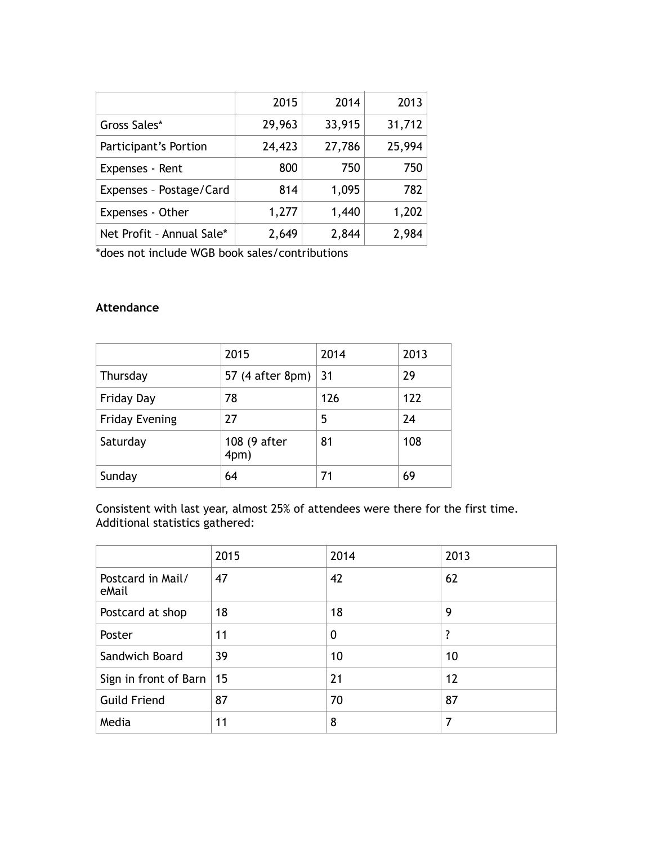|                           | 2015   | 2014   | 2013   |
|---------------------------|--------|--------|--------|
| Gross Sales*              | 29,963 | 33,915 | 31,712 |
| Participant's Portion     | 24,423 | 27,786 | 25,994 |
| Expenses - Rent           | 800    | 750    | 750    |
| Expenses - Postage/Card   | 814    | 1,095  | 782    |
| Expenses - Other          | 1,277  | 1,440  | 1,202  |
| Net Profit - Annual Sale* | 2,649  | 2,844  | 2,984  |

\*does not include WGB book sales/contributions

# **Attendance**

|                       | 2015                 | 2014 | 2013 |
|-----------------------|----------------------|------|------|
| Thursday              | 57 (4 after 8pm)     | 31   | 29   |
| <b>Friday Day</b>     | 78                   | 126  | 122  |
| <b>Friday Evening</b> | 27                   | 5    | 24   |
| Saturday              | 108 (9 after<br>4pm) | 81   | 108  |
| Sunday                | 64                   | 71   | 69   |

Consistent with last year, almost 25% of attendees were there for the first time. Additional statistics gathered:

|                            | 2015 | 2014        | 2013 |
|----------------------------|------|-------------|------|
| Postcard in Mail/<br>eMail | 47   | 42          | 62   |
| Postcard at shop           | 18   | 18          | 9    |
| Poster                     | 11   | $\mathbf 0$ | ?    |
| Sandwich Board             | 39   | 10          | 10   |
| Sign in front of Barn   15 |      | 21          | 12   |
| <b>Guild Friend</b>        | 87   | 70          | 87   |
| Media                      | 11   | 8           | 7    |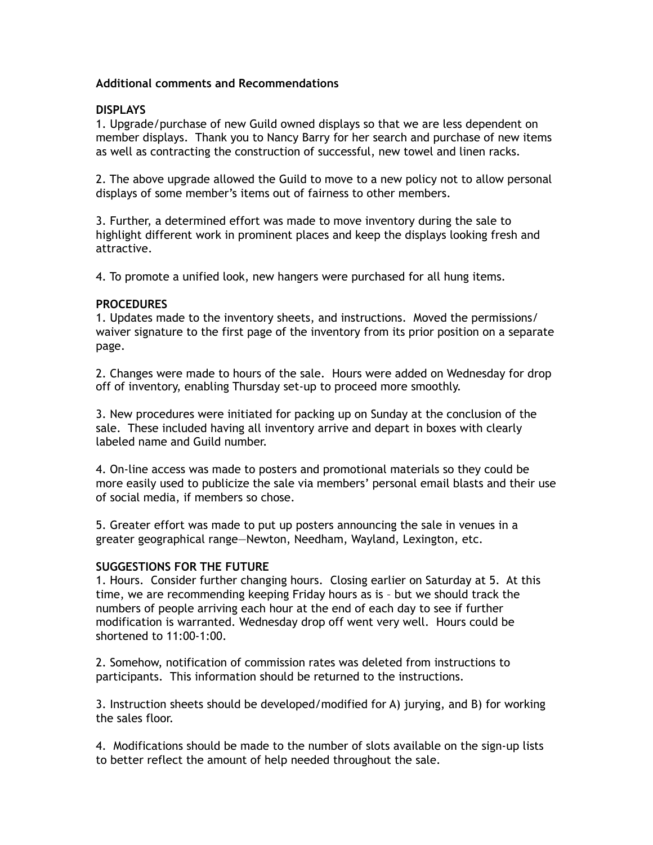## **Additional comments and Recommendations**

#### **DISPLAYS**

1. Upgrade/purchase of new Guild owned displays so that we are less dependent on member displays. Thank you to Nancy Barry for her search and purchase of new items as well as contracting the construction of successful, new towel and linen racks.

2. The above upgrade allowed the Guild to move to a new policy not to allow personal displays of some member's items out of fairness to other members.

3. Further, a determined effort was made to move inventory during the sale to highlight different work in prominent places and keep the displays looking fresh and attractive.

4. To promote a unified look, new hangers were purchased for all hung items.

#### **PROCEDURES**

1. Updates made to the inventory sheets, and instructions. Moved the permissions/ waiver signature to the first page of the inventory from its prior position on a separate page.

2. Changes were made to hours of the sale. Hours were added on Wednesday for drop off of inventory, enabling Thursday set-up to proceed more smoothly.

3. New procedures were initiated for packing up on Sunday at the conclusion of the sale. These included having all inventory arrive and depart in boxes with clearly labeled name and Guild number.

4. On-line access was made to posters and promotional materials so they could be more easily used to publicize the sale via members' personal email blasts and their use of social media, if members so chose.

5. Greater effort was made to put up posters announcing the sale in venues in a greater geographical range—Newton, Needham, Wayland, Lexington, etc.

## **SUGGESTIONS FOR THE FUTURE**

1. Hours. Consider further changing hours. Closing earlier on Saturday at 5. At this time, we are recommending keeping Friday hours as is – but we should track the numbers of people arriving each hour at the end of each day to see if further modification is warranted. Wednesday drop off went very well. Hours could be shortened to 11:00-1:00.

2. Somehow, notification of commission rates was deleted from instructions to participants. This information should be returned to the instructions.

3. Instruction sheets should be developed/modified for A) jurying, and B) for working the sales floor.

4. Modifications should be made to the number of slots available on the sign-up lists to better reflect the amount of help needed throughout the sale.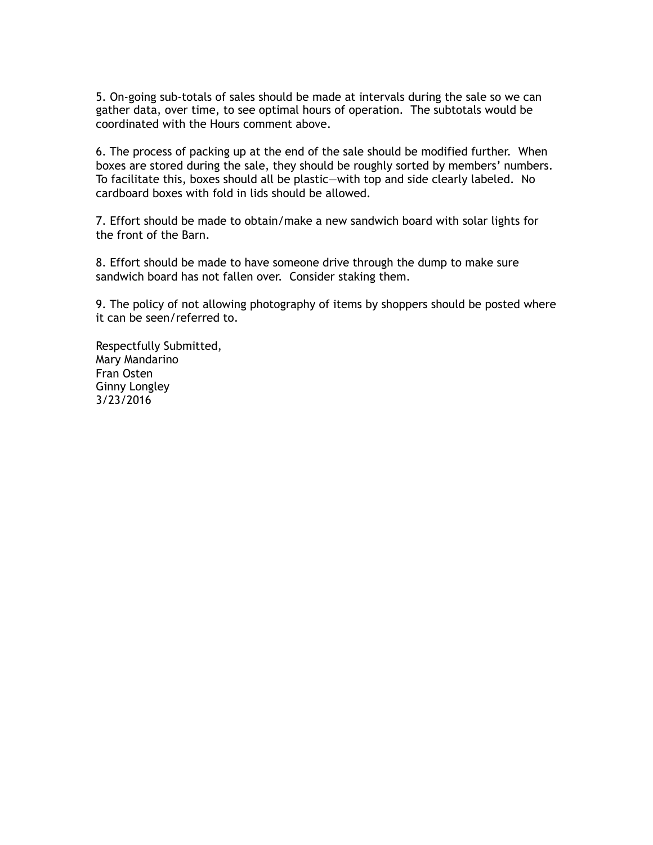5. On-going sub-totals of sales should be made at intervals during the sale so we can gather data, over time, to see optimal hours of operation. The subtotals would be coordinated with the Hours comment above.

6. The process of packing up at the end of the sale should be modified further. When boxes are stored during the sale, they should be roughly sorted by members' numbers. To facilitate this, boxes should all be plastic—with top and side clearly labeled. No cardboard boxes with fold in lids should be allowed.

7. Effort should be made to obtain/make a new sandwich board with solar lights for the front of the Barn.

8. Effort should be made to have someone drive through the dump to make sure sandwich board has not fallen over. Consider staking them.

9. The policy of not allowing photography of items by shoppers should be posted where it can be seen/referred to.

Respectfully Submitted, Mary Mandarino Fran Osten Ginny Longley 3/23/2016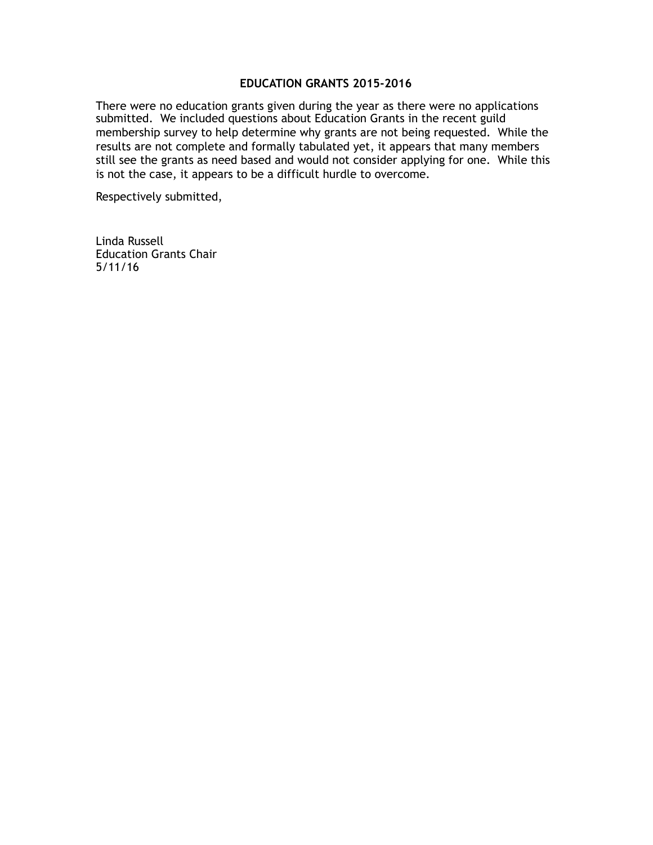#### **EDUCATION GRANTS 2015-2016**

There were no education grants given during the year as there were no applications submitted. We included questions about Education Grants in the recent guild membership survey to help determine why grants are not being requested. While the results are not complete and formally tabulated yet, it appears that many members still see the grants as need based and would not consider applying for one. While this is not the case, it appears to be a difficult hurdle to overcome.

Respectively submitted,

Linda Russell Education Grants Chair 5/11/16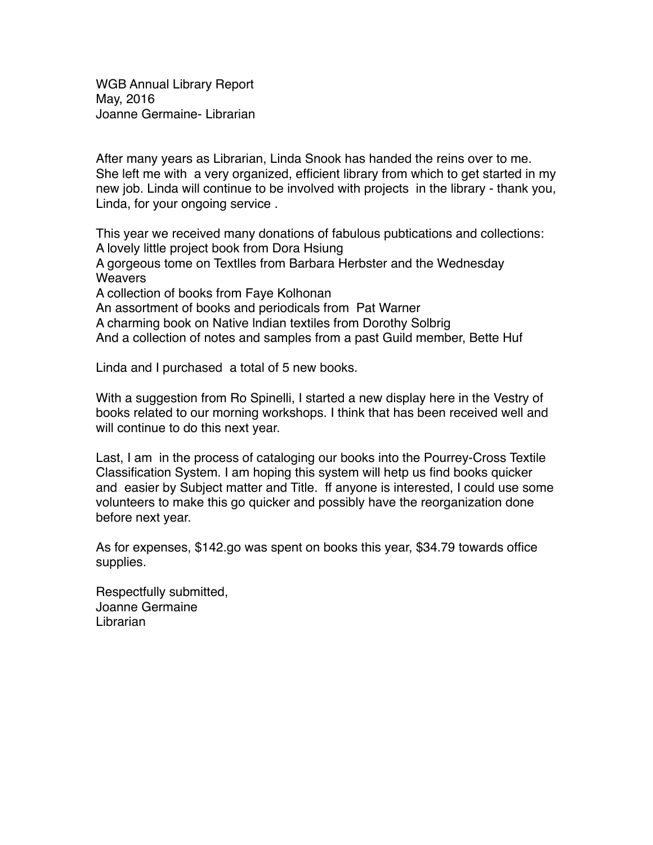WGB Annual Library Report May, 2016 Joanne Germaine- Librarian

After many years as Librarian, Linda Snook has handed the reins over to me. She left me with a very organized, efficient library from which to get started in my new job. Linda will continue to be involved with projects in the library - thank you, Linda, for your ongoing service .

This year we received many donations of fabulous pubtications and collections: A lovely little project book from Dora Hsiung A gorgeous tome on Textlles from Barbara Herbster and the Wednesday **Weavers** A collection of books from Faye Kolhonan An assortment of books and periodicals from Pat Warner A charming book on Native lndian textiles from Dorothy Solbrig

And a collection of notes and samples from a past Guild member, Bette Huf

Linda and I purchased a total of 5 new books.

With a suggestion from Ro Spinelli, I started a new display here in the Vestry of books related to our morning workshops. I think that has been received well and will continue to do this next year.

Last, I am in the process of cataloging our books into the Pourrey-Cross Textile Classification System. I am hoping this system will hetp us find books quicker and easier by Subject matter and Title. ff anyone is interested, I could use some volunteers to make this go quicker and possibly have the reorganization done before next year.

As for expenses, \$142.go was spent on books this year, \$34.79 towards office supplies.

Respectfully submitted, Joanne Germaine Librarian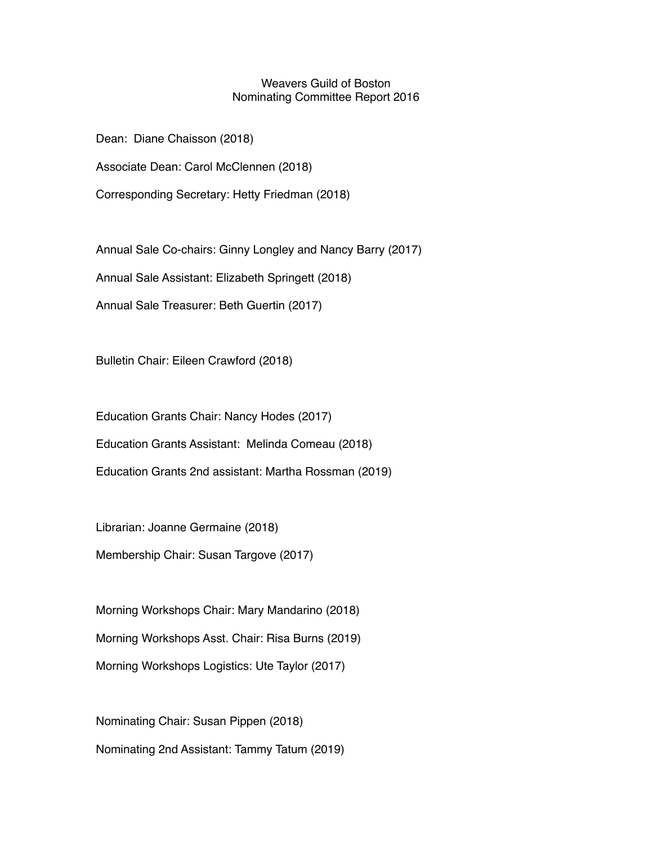## Weavers Guild of Boston Nominating Committee Report 2016

Dean: Diane Chaisson (2018)

Associate Dean: Carol McClennen (2018)

Corresponding Secretary: Hetty Friedman (2018)

Annual Sale Co-chairs: Ginny Longley and Nancy Barry (2017)

Annual Sale Assistant: Elizabeth Springett (2018)

Annual Sale Treasurer: Beth Guertin (2017)

Bulletin Chair: Eileen Crawford (2018)

Education Grants Chair: Nancy Hodes (2017)

Education Grants Assistant: Melinda Comeau (2018)

Education Grants 2nd assistant: Martha Rossman (2019)

Librarian: Joanne Germaine (2018)

Membership Chair: Susan Targove (2017)

Morning Workshops Chair: Mary Mandarino (2018) Morning Workshops Asst. Chair: Risa Burns (2019) Morning Workshops Logistics: Ute Taylor (2017)

Nominating Chair: Susan Pippen (2018) Nominating 2nd Assistant: Tammy Tatum (2019)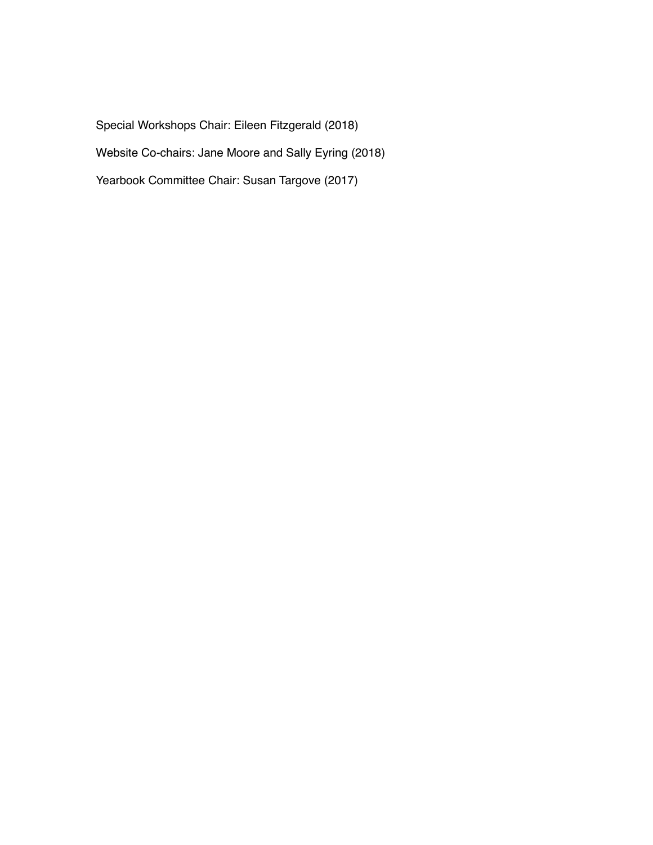Special Workshops Chair: Eileen Fitzgerald (2018) Website Co-chairs: Jane Moore and Sally Eyring (2018)

Yearbook Committee Chair: Susan Targove (2017)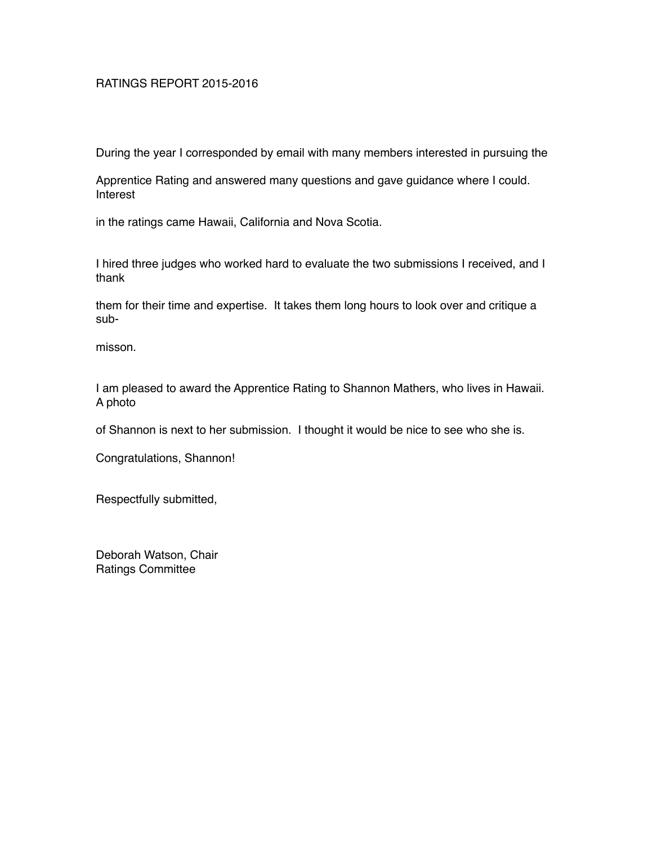## RATINGS REPORT 2015-2016

During the year I corresponded by email with many members interested in pursuing the

Apprentice Rating and answered many questions and gave guidance where I could. Interest

in the ratings came Hawaii, California and Nova Scotia.

I hired three judges who worked hard to evaluate the two submissions I received, and I thank

them for their time and expertise. It takes them long hours to look over and critique a sub-

misson.

I am pleased to award the Apprentice Rating to Shannon Mathers, who lives in Hawaii. A photo

of Shannon is next to her submission. I thought it would be nice to see who she is.

Congratulations, Shannon!

Respectfully submitted,

Deborah Watson, Chair Ratings Committee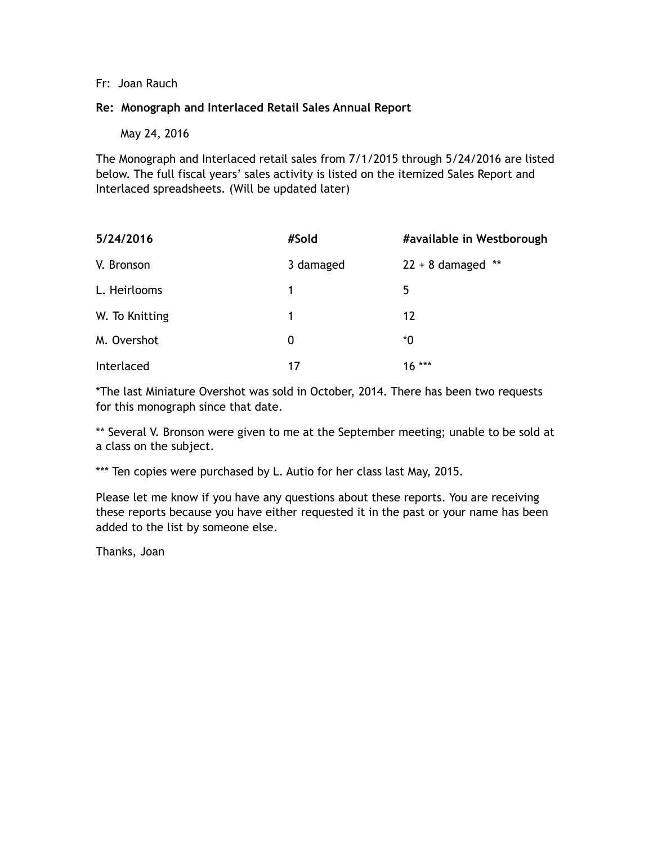## Fr: Joan Rauch

## **Re: Monograph and Interlaced Retail Sales Annual Report**

May 24, 2016

The Monograph and Interlaced retail sales from 7/1/2015 through 5/24/2016 are listed below. The full fiscal years' sales activity is listed on the itemized Sales Report and Interlaced spreadsheets. (Will be updated later)

| 5/24/2016      | #Sold     | #available in Westborough |
|----------------|-----------|---------------------------|
| V. Bronson     | 3 damaged | $22 + 8$ damaged **       |
| L. Heirlooms   | 1         | 5                         |
| W. To Knitting | 1         | 12                        |
| M. Overshot    | 0         | *0                        |
| Interlaced     | 17        | $16***$                   |

\*The last Miniature Overshot was sold in October, 2014. There has been two requests for this monograph since that date.

\*\* Several V. Bronson were given to me at the September meeting; unable to be sold at a class on the subject.

\*\*\* Ten copies were purchased by L. Autio for her class last May, 2015.

Please let me know if you have any questions about these reports. You are receiving these reports because you have either requested it in the past or your name has been added to the list by someone else.

Thanks, Joan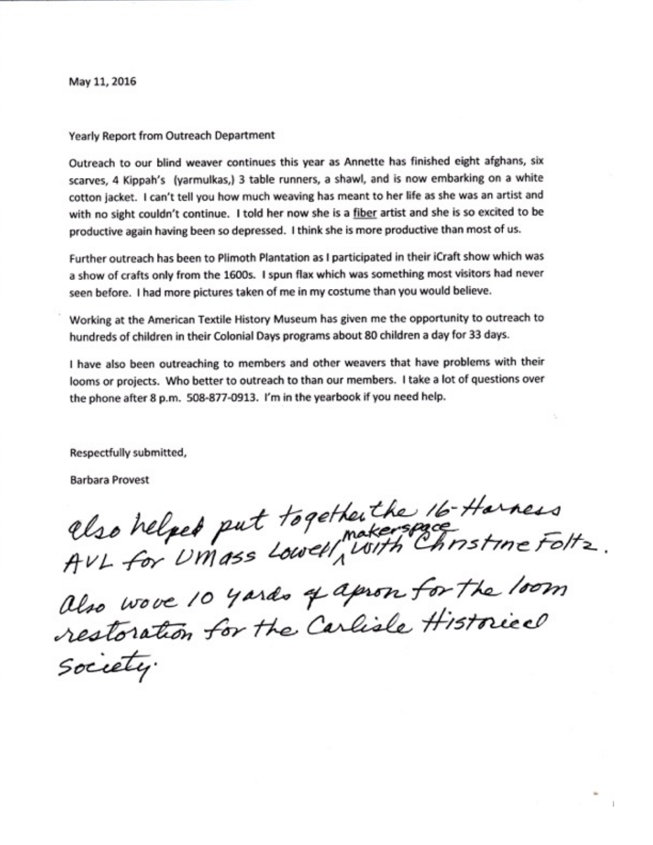May 11, 2016

#### Yearly Report from Outreach Department

Outreach to our blind weaver continues this year as Annette has finished eight afghans, six scarves, 4 Kippah's (yarmulkas,) 3 table runners, a shawl, and is now embarking on a white cotton jacket. I can't tell you how much weaving has meant to her life as she was an artist and with no sight couldn't continue. I told her now she is a fiber artist and she is so excited to be productive again having been so depressed. I think she is more productive than most of us.

Further outreach has been to Plimoth Plantation as I participated in their iCraft show which was a show of crafts only from the 1600s. I spun flax which was something most visitors had never seen before. I had more pictures taken of me in my costume than you would believe.

Working at the American Textile History Museum has given me the opportunity to outreach to hundreds of children in their Colonial Days programs about 80 children a day for 33 days.

I have also been outreaching to members and other weavers that have problems with their looms or projects. Who better to outreach to than our members. I take a lot of questions over the phone after 8 p.m. 508-877-0913. I'm in the yearbook if you need help.

Respectfully submitted,

**Barbara Provest** 

Clso helped put together the 16-Harness<br>AVL for UMASS Lowell, With Christine Foltz.

also wove 10 yards of apron for the loom restoration for the Carlisle Historical Society.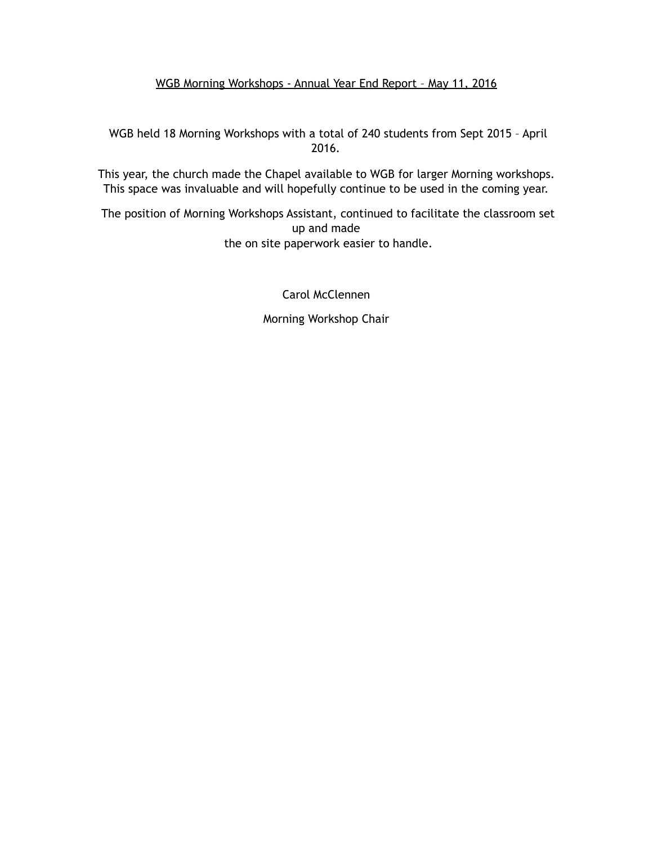# WGB Morning Workshops - Annual Year End Report – May 11, 2016

 WGB held 18 Morning Workshops with a total of 240 students from Sept 2015 – April 2016.

This year, the church made the Chapel available to WGB for larger Morning workshops. This space was invaluable and will hopefully continue to be used in the coming year.

 The position of Morning Workshops Assistant, continued to facilitate the classroom set up and made the on site paperwork easier to handle.

Carol McClennen

Morning Workshop Chair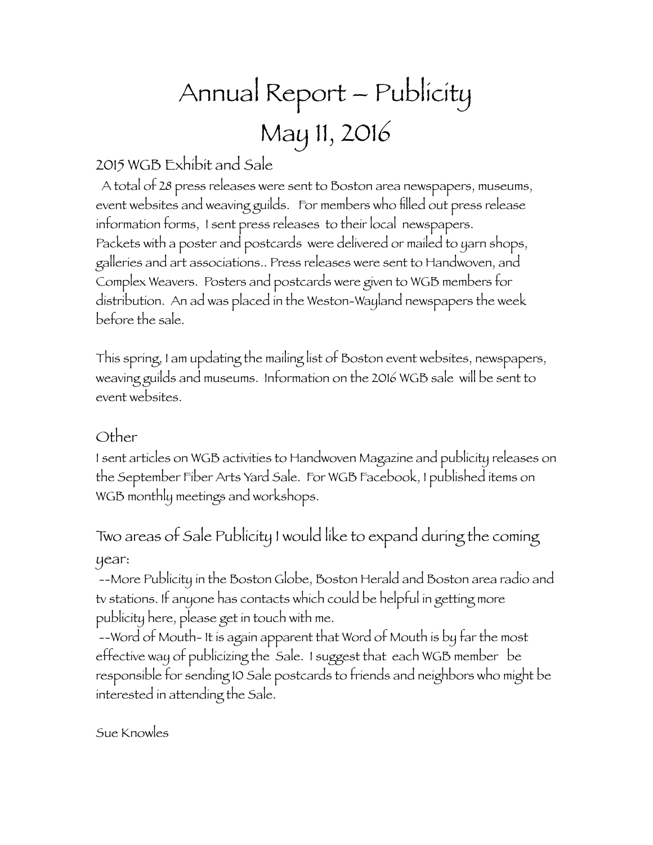# Annual Report – Publicity May 11, 2016

# 2015 WGB Exhibit and Sale

 A total of 28 press releases were sent to Boston area newspapers, museums, event websites and weaving guilds. For members who filled out press release information forms, I sent press releases to their local newspapers. Packets with a poster and postcards were delivered or mailed to yarn shops, galleries and art associations.. Press releases were sent to Handwoven, and Complex Weavers. Posters and postcards were given to WGB members for distribution. An ad was placed in the Weston-Wayland newspapers the week before the sale.

This spring, I am updating the mailing list of Boston event websites, newspapers, weaving guilds and museums. Information on the 2016 WGB sale will be sent to event websites.

# Other

I sent articles on WGB activities to Handwoven Magazine and publicity releases on the September Fiber Arts Yard Sale. For WGB Facebook, I published items on WGB monthly meetings and workshops.

Two areas of Sale Publicity I would like to expand during the coming year:

 --More Publicity in the Boston Globe, Boston Herald and Boston area radio and tv stations. If anyone has contacts which could be helpful in getting more publicity here, please get in touch with me.

 --Word of Mouth- It is again apparent that Word of Mouth is by far the most effective way of publicizing the Sale. I suggest that each WGB member be responsible for sending 10 Sale postcards to friends and neighbors who might be interested in attending the Sale.

Sue Knowles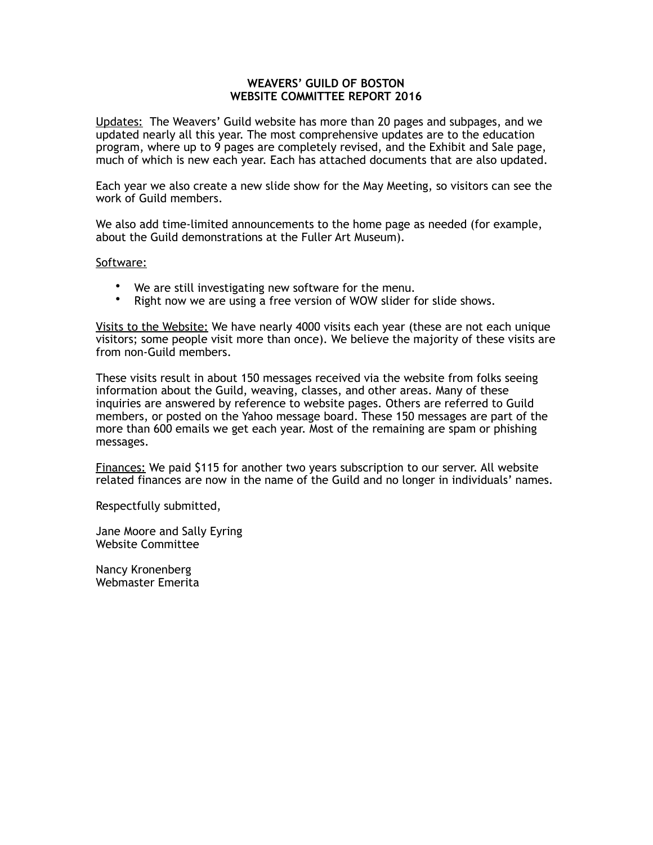#### **WEAVERS' GUILD OF BOSTON WEBSITE COMMITTEE REPORT 2016**

Updates: The Weavers' Guild website has more than 20 pages and subpages, and we updated nearly all this year. The most comprehensive updates are to the education program, where up to 9 pages are completely revised, and the Exhibit and Sale page, much of which is new each year. Each has attached documents that are also updated.

Each year we also create a new slide show for the May Meeting, so visitors can see the work of Guild members.

We also add time-limited announcements to the home page as needed (for example, about the Guild demonstrations at the Fuller Art Museum).

#### Software:

- We are still investigating new software for the menu.<br>• Right now we are using a free version of WOW slider for
- Right now we are using a free version of WOW slider for slide shows.

Visits to the Website: We have nearly 4000 visits each year (these are not each unique visitors; some people visit more than once). We believe the majority of these visits are from non-Guild members.

These visits result in about 150 messages received via the website from folks seeing information about the Guild, weaving, classes, and other areas. Many of these inquiries are answered by reference to website pages. Others are referred to Guild members, or posted on the Yahoo message board. These 150 messages are part of the more than 600 emails we get each year. Most of the remaining are spam or phishing messages.

Finances: We paid \$115 for another two years subscription to our server. All website related finances are now in the name of the Guild and no longer in individuals' names.

Respectfully submitted,

Jane Moore and Sally Eyring Website Committee

Nancy Kronenberg Webmaster Emerita